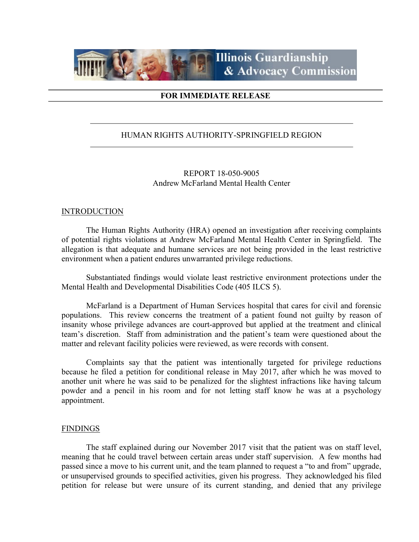

# FOR IMMEDIATE RELEASE

# HUMAN RIGHTS AUTHORITY-SPRINGFIELD REGION

REPORT 18-050-9005 Andrew McFarland Mental Health Center

### INTRODUCTION

 The Human Rights Authority (HRA) opened an investigation after receiving complaints of potential rights violations at Andrew McFarland Mental Health Center in Springfield. The allegation is that adequate and humane services are not being provided in the least restrictive environment when a patient endures unwarranted privilege reductions.

Substantiated findings would violate least restrictive environment protections under the Mental Health and Developmental Disabilities Code (405 ILCS 5).

 McFarland is a Department of Human Services hospital that cares for civil and forensic populations. This review concerns the treatment of a patient found not guilty by reason of insanity whose privilege advances are court-approved but applied at the treatment and clinical team's discretion. Staff from administration and the patient's team were questioned about the matter and relevant facility policies were reviewed, as were records with consent.

Complaints say that the patient was intentionally targeted for privilege reductions because he filed a petition for conditional release in May 2017, after which he was moved to another unit where he was said to be penalized for the slightest infractions like having talcum powder and a pencil in his room and for not letting staff know he was at a psychology appointment.

## FINDINGS

 The staff explained during our November 2017 visit that the patient was on staff level, meaning that he could travel between certain areas under staff supervision. A few months had passed since a move to his current unit, and the team planned to request a "to and from" upgrade, or unsupervised grounds to specified activities, given his progress. They acknowledged his filed petition for release but were unsure of its current standing, and denied that any privilege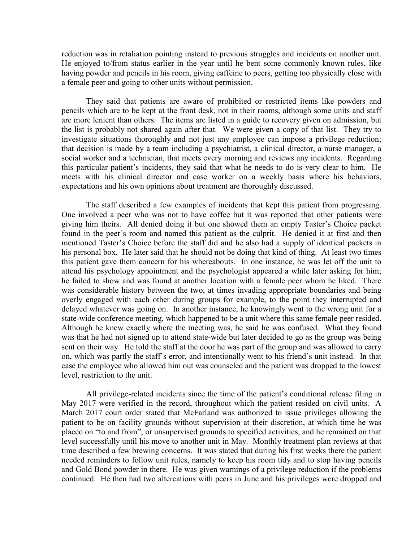reduction was in retaliation pointing instead to previous struggles and incidents on another unit. He enjoyed to/from status earlier in the year until he bent some commonly known rules, like having powder and pencils in his room, giving caffeine to peers, getting too physically close with a female peer and going to other units without permission.

 They said that patients are aware of prohibited or restricted items like powders and pencils which are to be kept at the front desk, not in their rooms, although some units and staff are more lenient than others. The items are listed in a guide to recovery given on admission, but the list is probably not shared again after that. We were given a copy of that list. They try to investigate situations thoroughly and not just any employee can impose a privilege reduction; that decision is made by a team including a psychiatrist, a clinical director, a nurse manager, a social worker and a technician, that meets every morning and reviews any incidents. Regarding this particular patient's incidents, they said that what he needs to do is very clear to him. He meets with his clinical director and case worker on a weekly basis where his behaviors, expectations and his own opinions about treatment are thoroughly discussed.

 The staff described a few examples of incidents that kept this patient from progressing. One involved a peer who was not to have coffee but it was reported that other patients were giving him theirs. All denied doing it but one showed them an empty Taster's Choice packet found in the peer's room and named this patient as the culprit. He denied it at first and then mentioned Taster's Choice before the staff did and he also had a supply of identical packets in his personal box. He later said that he should not be doing that kind of thing. At least two times this patient gave them concern for his whereabouts. In one instance, he was let off the unit to attend his psychology appointment and the psychologist appeared a while later asking for him; he failed to show and was found at another location with a female peer whom he liked. There was considerable history between the two, at times invading appropriate boundaries and being overly engaged with each other during groups for example, to the point they interrupted and delayed whatever was going on. In another instance, he knowingly went to the wrong unit for a state-wide conference meeting, which happened to be a unit where this same female peer resided. Although he knew exactly where the meeting was, he said he was confused. What they found was that he had not signed up to attend state-wide but later decided to go as the group was being sent on their way. He told the staff at the door he was part of the group and was allowed to carry on, which was partly the staff's error, and intentionally went to his friend's unit instead. In that case the employee who allowed him out was counseled and the patient was dropped to the lowest level, restriction to the unit.

 All privilege-related incidents since the time of the patient's conditional release filing in May 2017 were verified in the record, throughout which the patient resided on civil units. A March 2017 court order stated that McFarland was authorized to issue privileges allowing the patient to be on facility grounds without supervision at their discretion, at which time he was placed on "to and from", or unsupervised grounds to specified activities, and he remained on that level successfully until his move to another unit in May. Monthly treatment plan reviews at that time described a few brewing concerns. It was stated that during his first weeks there the patient needed reminders to follow unit rules, namely to keep his room tidy and to stop having pencils and Gold Bond powder in there. He was given warnings of a privilege reduction if the problems continued. He then had two altercations with peers in June and his privileges were dropped and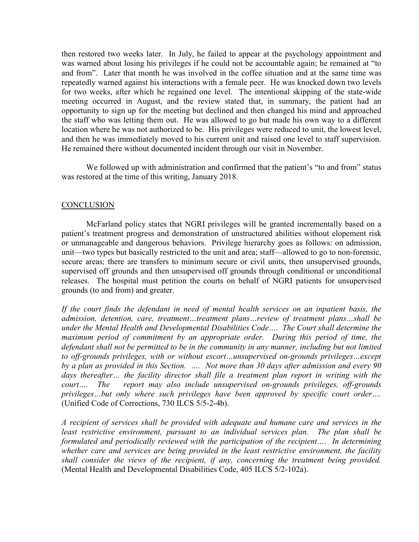then restored two weeks later. In July, he failed to appear at the psychology appointment and was warned about losing his privileges if he could not be accountable again; he remained at "to and from". Later that month he was involved in the coffee situation and at the same time was repeatedly warned against his interactions with a female peer. He was knocked down two levels for two weeks, after which he regained one level. The intentional skipping of the state-wide meeting occurred in August, and the review stated that, in summary, the patient had an opportunity to sign up for the meeting but declined and then changed his mind and approached the staff who was letting them out. He was allowed to go but made his own way to a different location where he was not authorized to be. His privileges were reduced to unit, the lowest level, and then he was immediately moved to his current unit and raised one level to staff supervision. He remained there without documented incident through our visit in November.

We followed up with administration and confirmed that the patient's "to and from" status was restored at the time of this writing, January 2018.

# **CONCLUSION**

 McFarland policy states that NGRI privileges will be granted incrementally based on a patient's treatment progress and demonstration of unstructured abilities without elopement risk or unmanageable and dangerous behaviors. Privilege hierarchy goes as follows: on admission, unit—two types but basically restricted to the unit and area; staff—allowed to go to non-forensic, secure areas; there are transfers to minimum secure or civil units, then unsupervised grounds, supervised off grounds and then unsupervised off grounds through conditional or unconditional releases. The hospital must petition the courts on behalf of NGRI patients for unsupervised grounds (to and from) and greater.

If the court finds the defendant in need of mental health services on an inpatient basis, the admission, detention, care, treatment…treatment plans…review of treatment plans…shall be under the Mental Health and Developmental Disabilities Code…. The Court shall determine the maximum period of commitment by an appropriate order. During this period of time, the defendant shall not be permitted to be in the community in any manner, including but not limited to off-grounds privileges, with or without escort…unsupervised on-grounds privileges…except by a plan as provided in this Section. …. Not more than 30 days after admission and every 90 days thereafter… the facility director shall file a treatment plan report in writing with the court.... The report may also include unsupervised on-grounds privileges, off-grounds privileges…but only where such privileges have been approved by specific court order…. (Unified Code of Corrections, 730 ILCS 5/5-2-4b).

A recipient of services shall be provided with adequate and humane care and services in the least restrictive environment, pursuant to an individual services plan. The plan shall be formulated and periodically reviewed with the participation of the recipient…. In determining whether care and services are being provided in the least restrictive environment, the facility shall consider the views of the recipient, if any, concerning the treatment being provided. (Mental Health and Developmental Disabilities Code, 405 ILCS 5/2-102a).